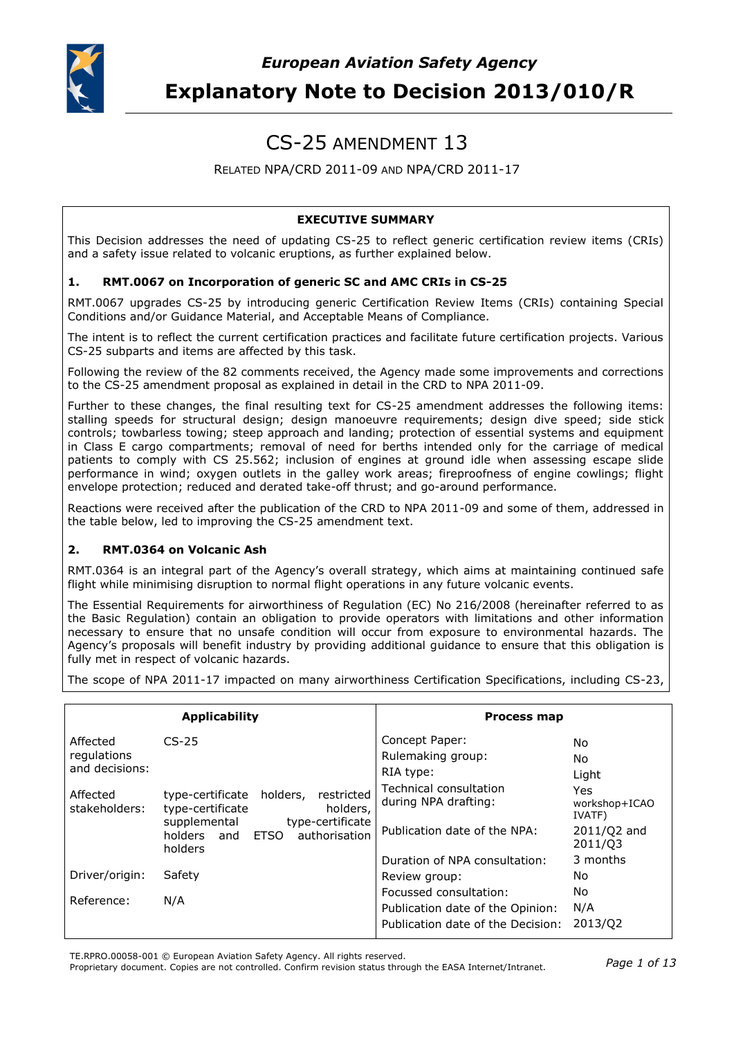

# CS-25 AMENDMENT 13

## RELATED NPA/CRD 2011-09 AND NPA/CRD 2011-17

## **EXECUTIVE SUMMARY**

This Decision addresses the need of updating CS-25 to reflect generic certification review items (CRIs) and a safety issue related to volcanic eruptions, as further explained below.

#### **1. RMT.0067 on Incorporation of generic SC and AMC CRIs in CS-25**

RMT.0067 upgrades CS-25 by introducing generic Certification Review Items (CRIs) containing Special Conditions and/or Guidance Material, and Acceptable Means of Compliance.

The intent is to reflect the current certification practices and facilitate future certification projects. Various CS-25 subparts and items are affected by this task.

Following the review of the 82 comments received, the Agency made some improvements and corrections to the CS-25 amendment proposal as explained in detail in the CRD to NPA 2011-09.

Further to these changes, the final resulting text for CS-25 amendment addresses the following items: stalling speeds for structural design; design manoeuvre requirements; design dive speed; side stick controls; towbarless towing; steep approach and landing; protection of essential systems and equipment in Class E cargo compartments; removal of need for berths intended only for the carriage of medical patients to comply with CS 25.562; inclusion of engines at ground idle when assessing escape slide performance in wind; oxygen outlets in the galley work areas; fireproofness of engine cowlings; flight envelope protection; reduced and derated take-off thrust; and go-around performance.

Reactions were received after the publication of the CRD to NPA 2011-09 and some of them, addressed in the table below, led to improving the CS-25 amendment text.

#### **2. RMT.0364 on Volcanic Ash**

RMT.0364 is an integral part of the Agency's overall strategy, which aims at maintaining continued safe flight while minimising disruption to normal flight operations in any future volcanic events.

The Essential Requirements for airworthiness of Regulation (EC) No 216/2008 (hereinafter referred to as the Basic Regulation) contain an obligation to provide operators with limitations and other information necessary to ensure that no unsafe condition will occur from exposure to environmental hazards. The Agency's proposals will benefit industry by providing additional guidance to ensure that this obligation is fully met in respect of volcanic hazards.

The scope of NPA 2011-17 impacted on many airworthiness Certification Specifications, including CS-23,

|                           | <b>Applicability</b>                                                                       | <b>Process map</b>                             |                                |
|---------------------------|--------------------------------------------------------------------------------------------|------------------------------------------------|--------------------------------|
| Affected                  | $CS-25$                                                                                    | Concept Paper:                                 | No.                            |
| regulations               |                                                                                            | Rulemaking group:                              | No.                            |
| and decisions:            |                                                                                            | RIA type:                                      | Light                          |
| Affected<br>stakeholders: | holders,<br>restricted<br>type-certificate<br>holders,<br>type-certificate<br>supplemental | Technical consultation<br>during NPA drafting: | Yes<br>workshop+ICAO<br>IVATF) |
|                           | type-certificate<br>authorisation<br>ETSO<br>holders and<br>holders                        | Publication date of the NPA:                   | $2011/Q2$ and<br>2011/03       |
|                           |                                                                                            | Duration of NPA consultation:                  | 3 months                       |
| Driver/origin:            | Safety                                                                                     | Review group:                                  | No.                            |
|                           |                                                                                            | Focussed consultation:                         | No.                            |
| Reference:                | N/A                                                                                        | Publication date of the Opinion:               | N/A                            |
|                           |                                                                                            | Publication date of the Decision:              | 2013/02                        |

TE.RPRO.00058-001 © European Aviation Safety Agency. All rights reserved.

Proprietary document. Copies are not controlled. Confirm revision status through the EASA Internet/Intranet. *Page 1 of 13*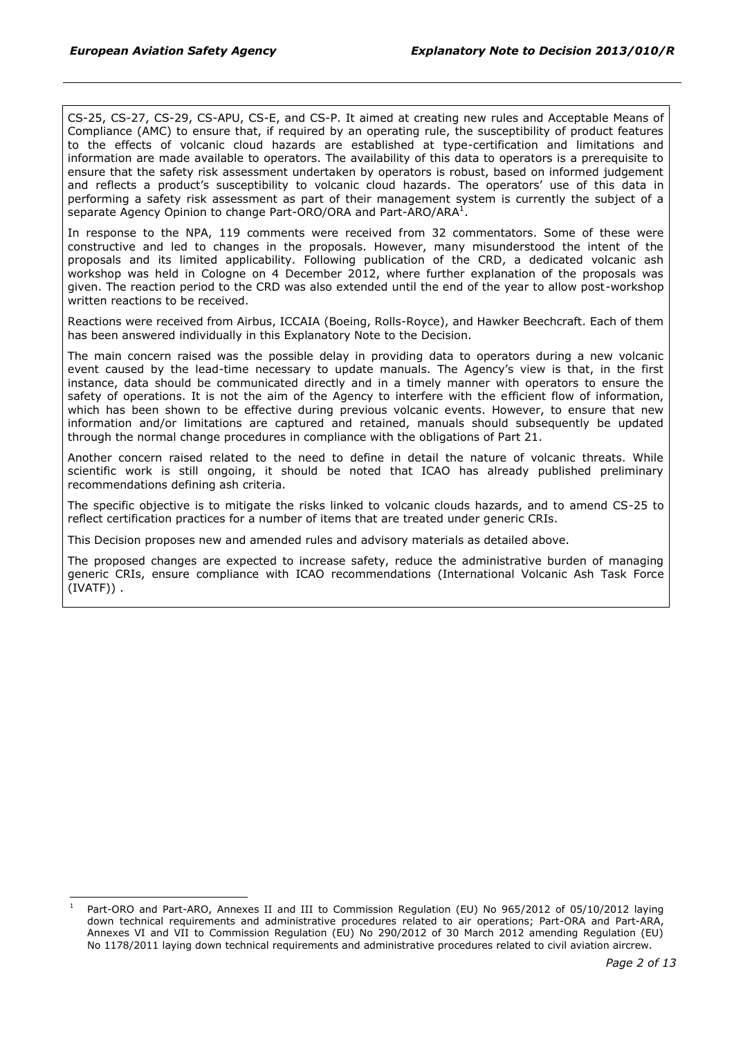CS-25, CS-27, CS-29, CS-APU, CS-E, and CS-P. It aimed at creating new rules and Acceptable Means of Compliance (AMC) to ensure that, if required by an operating rule, the susceptibility of product features to the effects of volcanic cloud hazards are established at type-certification and limitations and information are made available to operators. The availability of this data to operators is a prerequisite to ensure that the safety risk assessment undertaken by operators is robust, based on informed judgement and reflects a product's susceptibility to volcanic cloud hazards. The operators' use of this data in performing a safety risk assessment as part of their management system is currently the subject of a separate Agency Opinion to change Part-ORO/ORA and Part-ARO/ARA $^1$ .

In response to the NPA, 119 comments were received from 32 commentators. Some of these were constructive and led to changes in the proposals. However, many misunderstood the intent of the proposals and its limited applicability. Following publication of the CRD, a dedicated volcanic ash workshop was held in Cologne on 4 December 2012, where further explanation of the proposals was given. The reaction period to the CRD was also extended until the end of the year to allow post-workshop written reactions to be received.

Reactions were received from Airbus, ICCAIA (Boeing, Rolls-Royce), and Hawker Beechcraft. Each of them has been answered individually in this Explanatory Note to the Decision.

The main concern raised was the possible delay in providing data to operators during a new volcanic event caused by the lead-time necessary to update manuals. The Agency's view is that, in the first instance, data should be communicated directly and in a timely manner with operators to ensure the safety of operations. It is not the aim of the Agency to interfere with the efficient flow of information, which has been shown to be effective during previous volcanic events. However, to ensure that new information and/or limitations are captured and retained, manuals should subsequently be updated through the normal change procedures in compliance with the obligations of Part 21.

Another concern raised related to the need to define in detail the nature of volcanic threats. While scientific work is still ongoing, it should be noted that ICAO has already published preliminary recommendations defining ash criteria.

The specific objective is to mitigate the risks linked to volcanic clouds hazards, and to amend CS-25 to reflect certification practices for a number of items that are treated under generic CRIs.

This Decision proposes new and amended rules and advisory materials as detailed above.

The proposed changes are expected to increase safety, reduce the administrative burden of managing generic CRIs, ensure compliance with ICAO recommendations (International Volcanic Ash Task Force (IVATF)) .

Part-ORO and Part-ARO, Annexes II and III to Commission Regulation (EU) No 965/2012 of 05/10/2012 laying down technical requirements and administrative procedures related to air operations; Part-ORA and Part-ARA, Annexes VI and VII to Commission Regulation (EU) No 290/2012 of 30 March 2012 amending Regulation (EU) No 1178/2011 laying down technical requirements and administrative procedures related to civil aviation aircrew.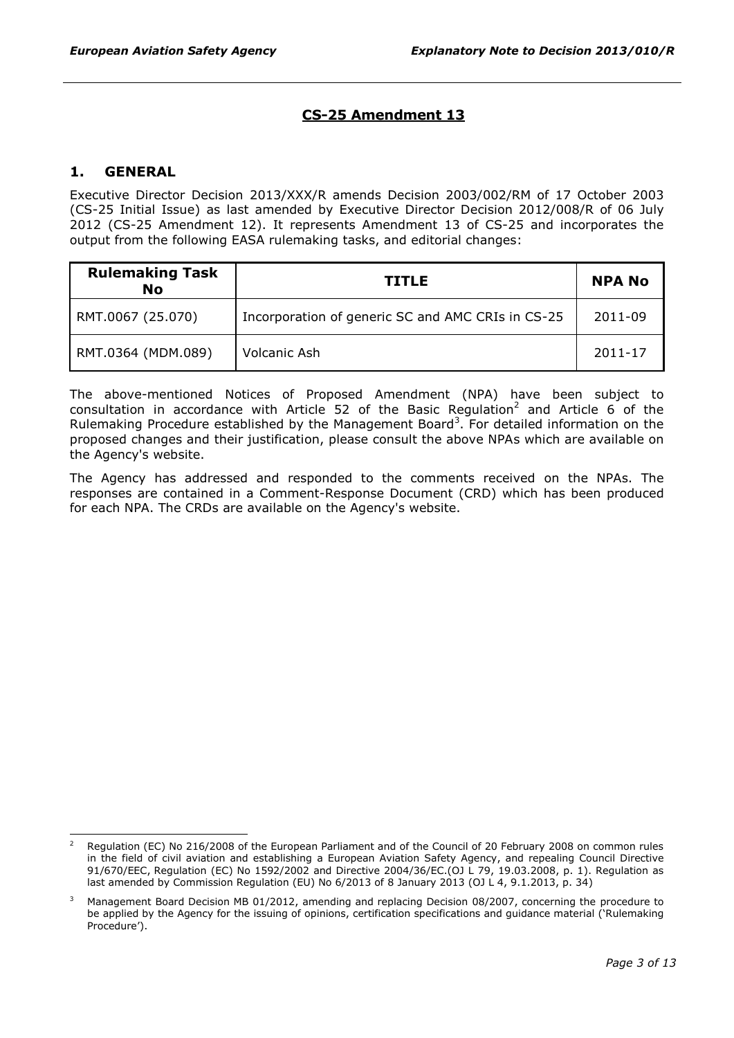# **CS-25 Amendment 13**

## **1. GENERAL**

Executive Director Decision 2013/XXX/R amends Decision 2003/002/RM of 17 October 2003 (CS-25 Initial Issue) as last amended by Executive Director Decision 2012/008/R of 06 July 2012 (CS-25 Amendment 12). It represents Amendment 13 of CS-25 and incorporates the output from the following EASA rulemaking tasks, and editorial changes:

| <b>Rulemaking Task</b><br><b>No</b> | <b>TITLE</b>                                      | <b>NPA No</b> |
|-------------------------------------|---------------------------------------------------|---------------|
| RMT.0067 (25.070)                   | Incorporation of generic SC and AMC CRIs in CS-25 | 2011-09       |
| RMT.0364 (MDM.089)                  | Volcanic Ash                                      | 2011-17       |

The above-mentioned Notices of Proposed Amendment (NPA) have been subject to consultation in accordance with Article 52 of the Basic Regulation<sup>2</sup> and Article 6 of the Rulemaking Procedure established by the Management Board<sup>3</sup>. For detailed information on the proposed changes and their justification, please consult the above NPAs which are available on the Agency's website.

The Agency has addressed and responded to the comments received on the NPAs. The responses are contained in a Comment-Response Document (CRD) which has been produced for each NPA. The CRDs are available on the Agency's website.

<sup>2</sup> Regulation (EC) No 216/2008 of the European Parliament and of the Council of 20 February 2008 on common rules in the field of civil aviation and establishing a European Aviation Safety Agency, and repealing Council Directive 91/670/EEC, Regulation (EC) No 1592/2002 and Directive 2004/36/EC.(OJ L 79, 19.03.2008, p. 1). Regulation as last amended by Commission Regulation (EU) No 6/2013 of 8 January 2013 (OJ L 4, 9.1.2013, p. 34)

<sup>3</sup> Management Board Decision MB 01/2012, amending and replacing Decision 08/2007, concerning the procedure to be applied by the Agency for the issuing of opinions, certification specifications and guidance material ('Rulemaking Procedure').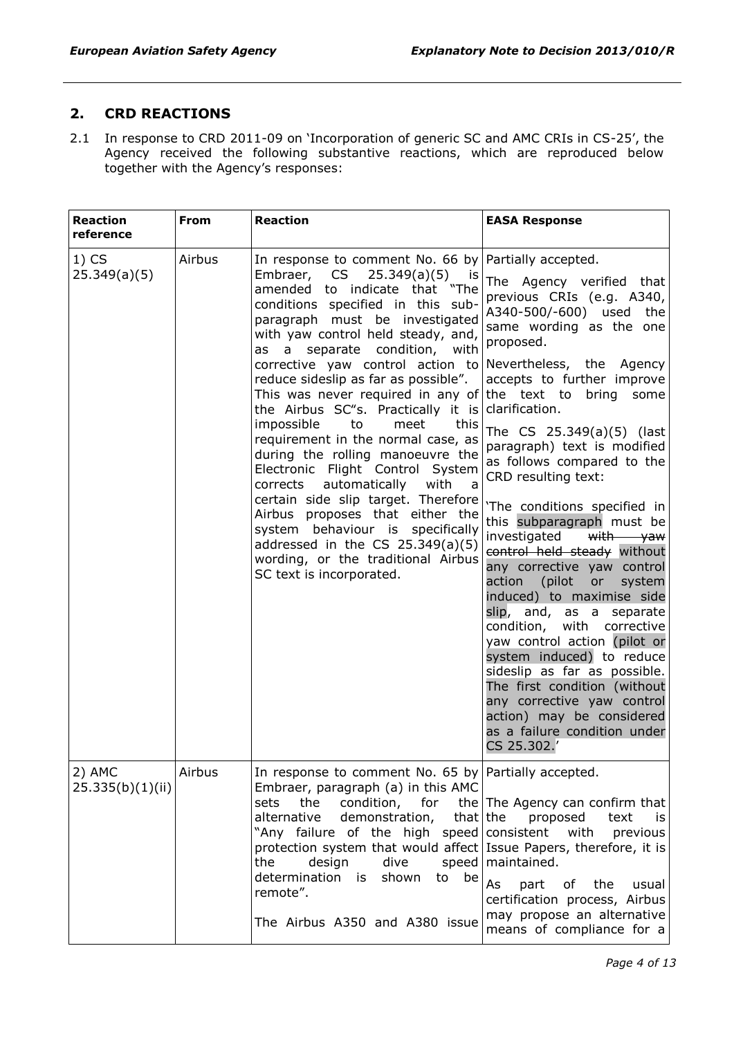## **2. CRD REACTIONS**

2.1 In response to CRD 2011-09 on 'Incorporation of generic SC and AMC CRIs in CS-25', the Agency received the following substantive reactions, which are reproduced below together with the Agency's responses:

| <b>Reaction</b><br>reference | <b>From</b> | <b>Reaction</b>                                                                                                                                                                                                                                                                                                                                                                                                                                                                                                                                                                                                                                                                                                                                                                                                                                  | <b>EASA Response</b>                                                                                                                                                                                                                                                                                                                                                                                                                                                                                                                                                                                                                                                                                                                                                                                                                                                      |
|------------------------------|-------------|--------------------------------------------------------------------------------------------------------------------------------------------------------------------------------------------------------------------------------------------------------------------------------------------------------------------------------------------------------------------------------------------------------------------------------------------------------------------------------------------------------------------------------------------------------------------------------------------------------------------------------------------------------------------------------------------------------------------------------------------------------------------------------------------------------------------------------------------------|---------------------------------------------------------------------------------------------------------------------------------------------------------------------------------------------------------------------------------------------------------------------------------------------------------------------------------------------------------------------------------------------------------------------------------------------------------------------------------------------------------------------------------------------------------------------------------------------------------------------------------------------------------------------------------------------------------------------------------------------------------------------------------------------------------------------------------------------------------------------------|
| $1)$ CS<br>25.349(a)(5)      | Airbus      | In response to comment No. 66 by Partially accepted.<br>Embraer, CS<br>$25.349(a)(5)$ is<br>amended to indicate that "The<br>conditions specified in this sub-<br>paragraph must be investigated<br>with yaw control held steady, and,<br>a separate condition, with<br>as<br>corrective yaw control action to<br>reduce sideslip as far as possible".<br>This was never required in any of<br>the Airbus SC"s. Practically it is<br>impossible<br>meet<br>this<br>to<br>requirement in the normal case, as<br>during the rolling manoeuvre the<br>Electronic Flight Control System<br>automatically with<br>corrects<br>a<br>certain side slip target. Therefore<br>Airbus proposes that either the<br>system behaviour is specifically<br>addressed in the CS $25.349(a)(5)$<br>wording, or the traditional Airbus<br>SC text is incorporated. | The Agency verified that<br>previous CRIs (e.g. A340,<br>A340-500/-600) used<br>the<br>same wording as the one<br>proposed.<br>Nevertheless, the Agency<br>accepts to further improve<br>the text to bring<br>some<br>clarification.<br>The CS 25.349(a)(5) (last<br>paragraph) text is modified<br>as follows compared to the<br>CRD resulting text:<br>'The conditions specified in<br>this subparagraph must be<br>investigated<br>with yaw<br>control held steady without<br>any corrective yaw control<br>action (pilot<br>system<br>or<br>induced) to maximise side<br>slip, and, as a separate<br>condition, with corrective<br>yaw control action (pilot or<br>system induced) to reduce<br>sideslip as far as possible.<br>The first condition (without<br>any corrective yaw control<br>action) may be considered<br>as a failure condition under<br>CS 25.302. |
| 2) AMC<br>25.335(b)(1)(ii)   | Airbus      | In response to comment No. 65 by Partially accepted.<br>Embraer, paragraph (a) in this AMC<br>sets<br>the<br>alternative<br>demonstration,<br>that the<br>"Any failure of the high speed consistent<br>protection system that would affect Issue Papers, therefore, it is<br>design<br>dive<br>the<br>determination is<br>to be<br>shown<br>remote".<br>The Airbus A350 and A380 issue                                                                                                                                                                                                                                                                                                                                                                                                                                                           | condition, for the The Agency can confirm that<br>proposed<br>text<br>is<br>with<br>previous<br>speed   maintained.<br>As<br>of the<br>part<br>usual<br>certification process, Airbus<br>may propose an alternative<br>means of compliance for a                                                                                                                                                                                                                                                                                                                                                                                                                                                                                                                                                                                                                          |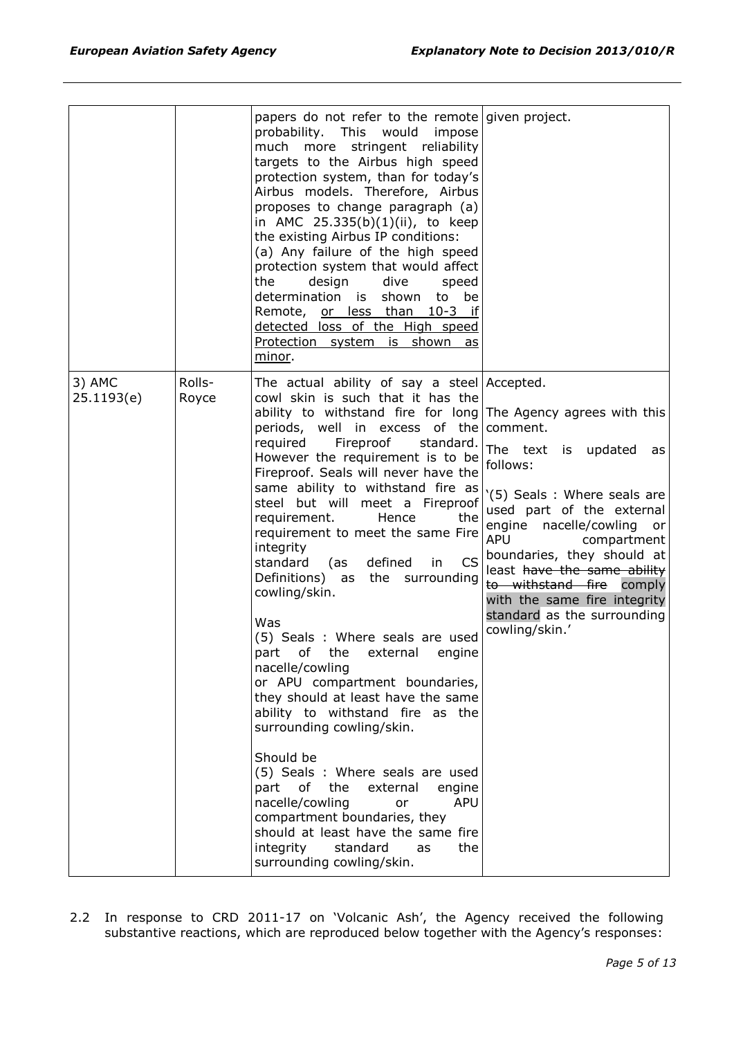|                      |                 | papers do not refer to the remote given project.<br>probability. This<br>would<br>impose<br>much<br>more<br>stringent reliability<br>targets to the Airbus high speed<br>protection system, than for today's<br>Airbus models. Therefore, Airbus<br>proposes to change paragraph (a)<br>in AMC 25.335(b)(1)(ii), to keep<br>the existing Airbus IP conditions:<br>(a) Any failure of the high speed<br>protection system that would affect<br>the<br>design<br>dive<br>speed<br>determination is shown to be<br>Remote, or less than 10-3 if<br>detected loss of the High speed<br>Protection system is shown as<br>minor.                                                                                                                                                                                                                                                                                                                                                                                                                                                                             |                                                                                                                                                                                                                                                                                                                                          |
|----------------------|-----------------|--------------------------------------------------------------------------------------------------------------------------------------------------------------------------------------------------------------------------------------------------------------------------------------------------------------------------------------------------------------------------------------------------------------------------------------------------------------------------------------------------------------------------------------------------------------------------------------------------------------------------------------------------------------------------------------------------------------------------------------------------------------------------------------------------------------------------------------------------------------------------------------------------------------------------------------------------------------------------------------------------------------------------------------------------------------------------------------------------------|------------------------------------------------------------------------------------------------------------------------------------------------------------------------------------------------------------------------------------------------------------------------------------------------------------------------------------------|
| 3) AMC<br>25.1193(e) | Rolls-<br>Royce | The actual ability of say a steel Accepted.<br>cowl skin is such that it has the<br>ability to withstand fire for long The Agency agrees with this<br>periods, well in excess of the comment.<br>Fireproof<br>required<br>standard.<br>However the requirement is to be<br>Fireproof. Seals will never have the<br>same ability to withstand fire as<br>steel but will meet a Fireproof<br>requirement.<br>Hence<br>the<br>requirement to meet the same Fire<br>integrity<br>CS <sup>I</sup><br>defined<br>standard<br>(as<br>in<br>Definitions) as the surrounding<br>cowling/skin.<br>Was<br>(5) Seals : Where seals are used<br>part of the external engine<br>nacelle/cowling<br>or APU compartment boundaries,<br>they should at least have the same<br>ability to withstand fire as the<br>surrounding cowling/skin.<br>Should be<br>(5) Seals : Where seals are used<br>of<br>the<br>external<br>engine<br>part<br>nacelle/cowling<br><b>APU</b><br>or<br>compartment boundaries, they<br>should at least have the same fire<br>integrity<br>standard<br>as<br>the<br>surrounding cowling/skin. | The text is updated<br>as<br>follows:<br>'(5) Seals: Where seals are<br>used part of the external<br>engine nacelle/cowling<br>or<br><b>APU</b><br>compartment<br>boundaries, they should at<br>least have the same ability<br>to withstand fire comply<br>with the same fire integrity<br>standard as the surrounding<br>cowling/skin.' |

2.2 In response to CRD 2011-17 on 'Volcanic Ash', the Agency received the following substantive reactions, which are reproduced below together with the Agency's responses: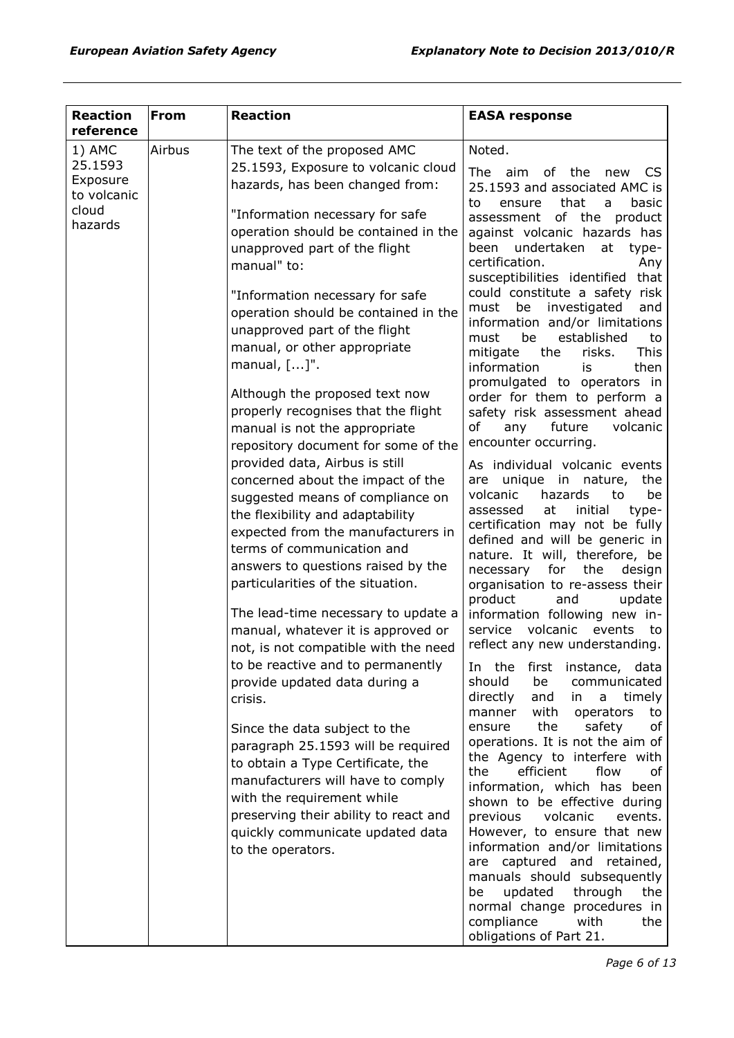| <b>Reaction</b>         | <b>From</b> | <b>Reaction</b>                                                            | <b>EASA response</b>                                                |
|-------------------------|-------------|----------------------------------------------------------------------------|---------------------------------------------------------------------|
| reference               |             |                                                                            |                                                                     |
| 1) AMC                  | Airbus      | The text of the proposed AMC                                               | Noted.                                                              |
| 25.1593                 |             | 25.1593, Exposure to volcanic cloud                                        | The aim of the new<br>CS.                                           |
| Exposure<br>to volcanic |             | hazards, has been changed from:                                            | 25.1593 and associated AMC is                                       |
| cloud                   |             | "Information necessary for safe                                            | that<br>basic<br>to<br>ensure<br>a                                  |
| hazards                 |             | operation should be contained in the                                       | assessment of the product<br>against volcanic hazards has           |
|                         |             | unapproved part of the flight                                              | undertaken<br>been<br>at<br>type-                                   |
|                         |             | manual" to:                                                                | certification.<br>Any                                               |
|                         |             |                                                                            | susceptibilities identified that                                    |
|                         |             | "Information necessary for safe                                            | could constitute a safety risk                                      |
|                         |             | operation should be contained in the                                       | investigated<br>be<br>and<br>must<br>information and/or limitations |
|                         |             | unapproved part of the flight                                              | established<br>be<br>must<br>to                                     |
|                         |             | manual, or other appropriate                                               | This<br>mitigate<br>the<br>risks.                                   |
|                         |             | manual, $[]$ ".                                                            | information<br>then<br>is                                           |
|                         |             | Although the proposed text now                                             | promulgated to operators in                                         |
|                         |             | properly recognises that the flight                                        | order for them to perform a<br>safety risk assessment ahead         |
|                         |             | manual is not the appropriate                                              | of<br>future<br>volcanic<br>any                                     |
|                         |             | repository document for some of the                                        | encounter occurring.                                                |
|                         |             | provided data, Airbus is still                                             | As individual volcanic events                                       |
|                         |             | concerned about the impact of the                                          | unique in nature,<br>are<br>the                                     |
|                         |             | suggested means of compliance on                                           | volcanic<br>hazards<br>be<br>to                                     |
|                         |             | the flexibility and adaptability                                           | assessed<br>at<br>initial<br>type-                                  |
|                         |             | expected from the manufacturers in                                         | certification may not be fully                                      |
|                         |             | terms of communication and                                                 | defined and will be generic in<br>nature. It will, therefore, be    |
|                         |             | answers to questions raised by the                                         | necessary<br>for<br>the<br>design                                   |
|                         |             | particularities of the situation.                                          | organisation to re-assess their                                     |
|                         |             |                                                                            | and<br>product<br>update                                            |
|                         |             | The lead-time necessary to update a                                        | information following new in-<br>volcanic events<br>service         |
|                         |             | manual, whatever it is approved or<br>not, is not compatible with the need | to<br>reflect any new understanding.                                |
|                         |             | to be reactive and to permanently                                          |                                                                     |
|                         |             | provide updated data during a                                              | In the first instance, data<br>should<br>be<br>communicated         |
|                         |             | crisis.                                                                    | directly<br>and<br>timely<br>in<br>a                                |
|                         |             |                                                                            | with<br>manner<br>operators<br>to                                   |
|                         |             | Since the data subject to the                                              | the<br>safety<br>of<br>ensure                                       |
|                         |             | paragraph 25.1593 will be required                                         | operations. It is not the aim of                                    |
|                         |             | to obtain a Type Certificate, the                                          | the Agency to interfere with<br>efficient<br>the<br>flow<br>оf      |
|                         |             | manufacturers will have to comply                                          | information, which has been                                         |
|                         |             | with the requirement while                                                 | shown to be effective during                                        |
|                         |             | preserving their ability to react and                                      | previous<br>volcanic<br>events.                                     |
|                         |             | quickly communicate updated data                                           | However, to ensure that new                                         |
|                         |             | to the operators.                                                          | information and/or limitations<br>captured and retained,<br>are     |
|                         |             |                                                                            | manuals should subsequently                                         |
|                         |             |                                                                            | updated<br>through<br>be<br>the                                     |
|                         |             |                                                                            | normal change procedures in                                         |
|                         |             |                                                                            | compliance<br>with<br>the                                           |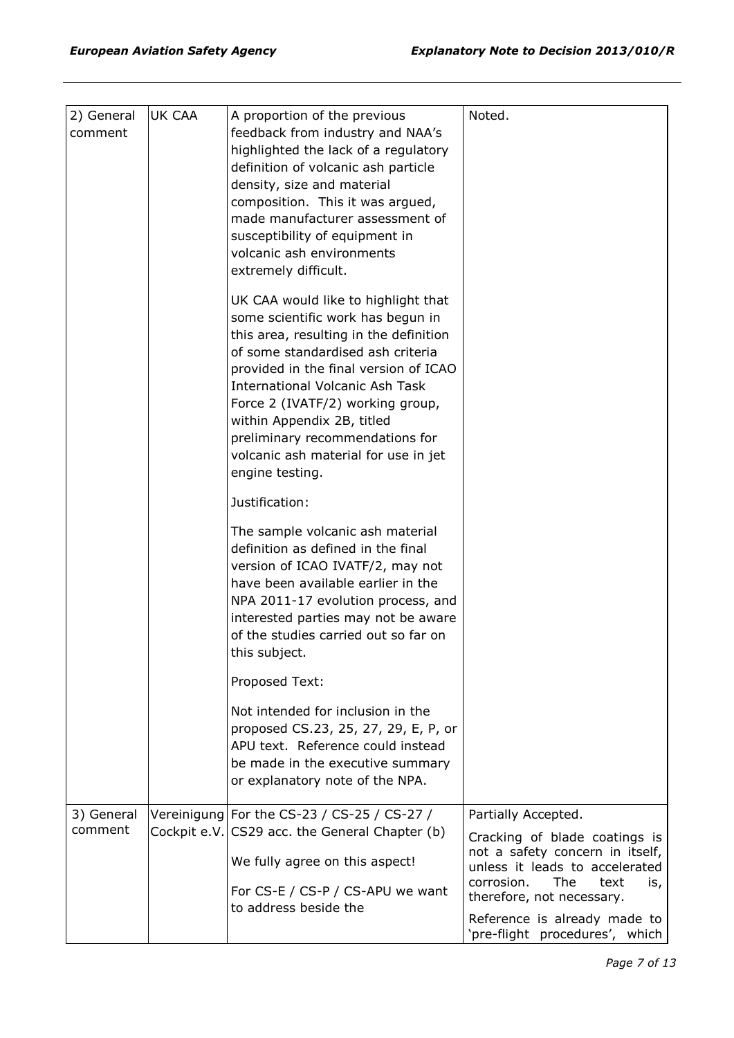| 2) General | <b>UK CAA</b> | A proportion of the previous                                                                                                                                                                                                  | Noted.                                                         |
|------------|---------------|-------------------------------------------------------------------------------------------------------------------------------------------------------------------------------------------------------------------------------|----------------------------------------------------------------|
| comment    |               | feedback from industry and NAA's                                                                                                                                                                                              |                                                                |
|            |               | highlighted the lack of a regulatory                                                                                                                                                                                          |                                                                |
|            |               | definition of volcanic ash particle                                                                                                                                                                                           |                                                                |
|            |               | density, size and material                                                                                                                                                                                                    |                                                                |
|            |               | composition. This it was argued,                                                                                                                                                                                              |                                                                |
|            |               | made manufacturer assessment of                                                                                                                                                                                               |                                                                |
|            |               | susceptibility of equipment in                                                                                                                                                                                                |                                                                |
|            |               | volcanic ash environments                                                                                                                                                                                                     |                                                                |
|            |               | extremely difficult.                                                                                                                                                                                                          |                                                                |
|            |               | UK CAA would like to highlight that                                                                                                                                                                                           |                                                                |
|            |               | some scientific work has begun in                                                                                                                                                                                             |                                                                |
|            |               | this area, resulting in the definition                                                                                                                                                                                        |                                                                |
|            |               | of some standardised ash criteria                                                                                                                                                                                             |                                                                |
|            |               | provided in the final version of ICAO                                                                                                                                                                                         |                                                                |
|            |               | <b>International Volcanic Ash Task</b>                                                                                                                                                                                        |                                                                |
|            |               | Force 2 (IVATF/2) working group,                                                                                                                                                                                              |                                                                |
|            |               | within Appendix 2B, titled                                                                                                                                                                                                    |                                                                |
|            |               | preliminary recommendations for                                                                                                                                                                                               |                                                                |
|            |               | volcanic ash material for use in jet                                                                                                                                                                                          |                                                                |
|            |               | engine testing.                                                                                                                                                                                                               |                                                                |
|            |               |                                                                                                                                                                                                                               |                                                                |
|            |               | Justification:                                                                                                                                                                                                                |                                                                |
|            |               | The sample volcanic ash material<br>definition as defined in the final<br>version of ICAO IVATF/2, may not<br>have been available earlier in the<br>NPA 2011-17 evolution process, and<br>interested parties may not be aware |                                                                |
|            |               | of the studies carried out so far on                                                                                                                                                                                          |                                                                |
|            |               | this subject.                                                                                                                                                                                                                 |                                                                |
|            |               | Proposed Text:                                                                                                                                                                                                                |                                                                |
|            |               | Not intended for inclusion in the                                                                                                                                                                                             |                                                                |
|            |               | proposed CS.23, 25, 27, 29, E, P, or                                                                                                                                                                                          |                                                                |
|            |               | APU text. Reference could instead                                                                                                                                                                                             |                                                                |
|            |               | be made in the executive summary                                                                                                                                                                                              |                                                                |
|            |               | or explanatory note of the NPA.                                                                                                                                                                                               |                                                                |
|            |               |                                                                                                                                                                                                                               |                                                                |
| 3) General |               | Vereinigung For the CS-23 / CS-25 / CS-27 /                                                                                                                                                                                   | Partially Accepted.                                            |
| comment    |               | Cockpit e.V. CS29 acc. the General Chapter (b)                                                                                                                                                                                | Cracking of blade coatings is                                  |
|            |               | We fully agree on this aspect!                                                                                                                                                                                                | not a safety concern in itself,                                |
|            |               |                                                                                                                                                                                                                               | unless it leads to accelerated                                 |
|            |               | For CS-E / CS-P / CS-APU we want                                                                                                                                                                                              | corrosion.<br>The<br>text<br>is,<br>therefore, not necessary.  |
|            |               | to address beside the                                                                                                                                                                                                         |                                                                |
|            |               |                                                                                                                                                                                                                               | Reference is already made to<br>'pre-flight procedures', which |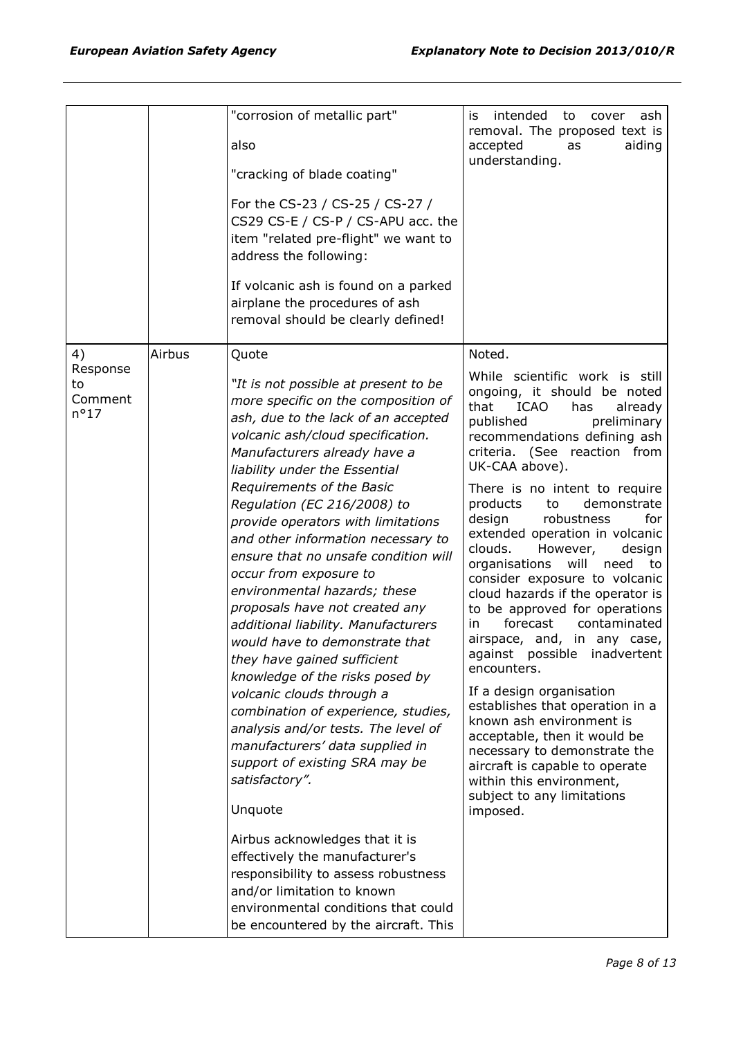| "corrosion of metallic part"                                                                                                                                                                                                                                                                                                                                                                                                                                                                                                                                                                                                                                                                                                                                                                                     | intended<br>is<br>ash<br>to<br>cover<br>removal. The proposed text is                                                                                                                                                                                                                                                                                                                                                                                                                                                                                                                                                                                                                             |
|------------------------------------------------------------------------------------------------------------------------------------------------------------------------------------------------------------------------------------------------------------------------------------------------------------------------------------------------------------------------------------------------------------------------------------------------------------------------------------------------------------------------------------------------------------------------------------------------------------------------------------------------------------------------------------------------------------------------------------------------------------------------------------------------------------------|---------------------------------------------------------------------------------------------------------------------------------------------------------------------------------------------------------------------------------------------------------------------------------------------------------------------------------------------------------------------------------------------------------------------------------------------------------------------------------------------------------------------------------------------------------------------------------------------------------------------------------------------------------------------------------------------------|
| also                                                                                                                                                                                                                                                                                                                                                                                                                                                                                                                                                                                                                                                                                                                                                                                                             | accepted<br>aiding<br>as<br>understanding.                                                                                                                                                                                                                                                                                                                                                                                                                                                                                                                                                                                                                                                        |
| "cracking of blade coating"                                                                                                                                                                                                                                                                                                                                                                                                                                                                                                                                                                                                                                                                                                                                                                                      |                                                                                                                                                                                                                                                                                                                                                                                                                                                                                                                                                                                                                                                                                                   |
| For the CS-23 / CS-25 / CS-27 /<br>CS29 CS-E / CS-P / CS-APU acc. the<br>item "related pre-flight" we want to<br>address the following:                                                                                                                                                                                                                                                                                                                                                                                                                                                                                                                                                                                                                                                                          |                                                                                                                                                                                                                                                                                                                                                                                                                                                                                                                                                                                                                                                                                                   |
| If volcanic ash is found on a parked<br>airplane the procedures of ash<br>removal should be clearly defined!                                                                                                                                                                                                                                                                                                                                                                                                                                                                                                                                                                                                                                                                                                     |                                                                                                                                                                                                                                                                                                                                                                                                                                                                                                                                                                                                                                                                                                   |
| Quote                                                                                                                                                                                                                                                                                                                                                                                                                                                                                                                                                                                                                                                                                                                                                                                                            | Noted.                                                                                                                                                                                                                                                                                                                                                                                                                                                                                                                                                                                                                                                                                            |
| "It is not possible at present to be<br>more specific on the composition of<br>ash, due to the lack of an accepted<br>volcanic ash/cloud specification.<br>Manufacturers already have a<br>liability under the Essential                                                                                                                                                                                                                                                                                                                                                                                                                                                                                                                                                                                         | While scientific work is still<br>ongoing, it should be noted<br>that<br><b>ICAO</b><br>has<br>already<br>published<br>preliminary<br>recommendations defining ash<br>criteria. (See reaction from<br>UK-CAA above).                                                                                                                                                                                                                                                                                                                                                                                                                                                                              |
| Requirements of the Basic<br>Regulation (EC 216/2008) to<br>provide operators with limitations<br>and other information necessary to<br>ensure that no unsafe condition will<br>occur from exposure to<br>environmental hazards; these<br>proposals have not created any<br>additional liability. Manufacturers<br>would have to demonstrate that<br>they have gained sufficient<br>knowledge of the risks posed by<br>volcanic clouds through a<br>combination of experience, studies,<br>analysis and/or tests. The level of<br>manufacturers' data supplied in<br>support of existing SRA may be<br>satisfactory".<br>Unquote<br>Airbus acknowledges that it is<br>effectively the manufacturer's<br>responsibility to assess robustness<br>and/or limitation to known<br>environmental conditions that could | There is no intent to require<br>products<br>demonstrate<br>to<br>robustness<br>design<br>for<br>extended operation in volcanic<br>clouds.<br>However,<br>design<br>will<br>organisations<br>need<br>to<br>consider exposure to volcanic<br>cloud hazards if the operator is<br>to be approved for operations<br>forecast<br>contaminated<br>in.<br>airspace, and, in any case,<br>against possible inadvertent<br>encounters.<br>If a design organisation<br>establishes that operation in a<br>known ash environment is<br>acceptable, then it would be<br>necessary to demonstrate the<br>aircraft is capable to operate<br>within this environment,<br>subject to any limitations<br>imposed. |
|                                                                                                                                                                                                                                                                                                                                                                                                                                                                                                                                                                                                                                                                                                                                                                                                                  | Airbus<br>be encountered by the aircraft. This                                                                                                                                                                                                                                                                                                                                                                                                                                                                                                                                                                                                                                                    |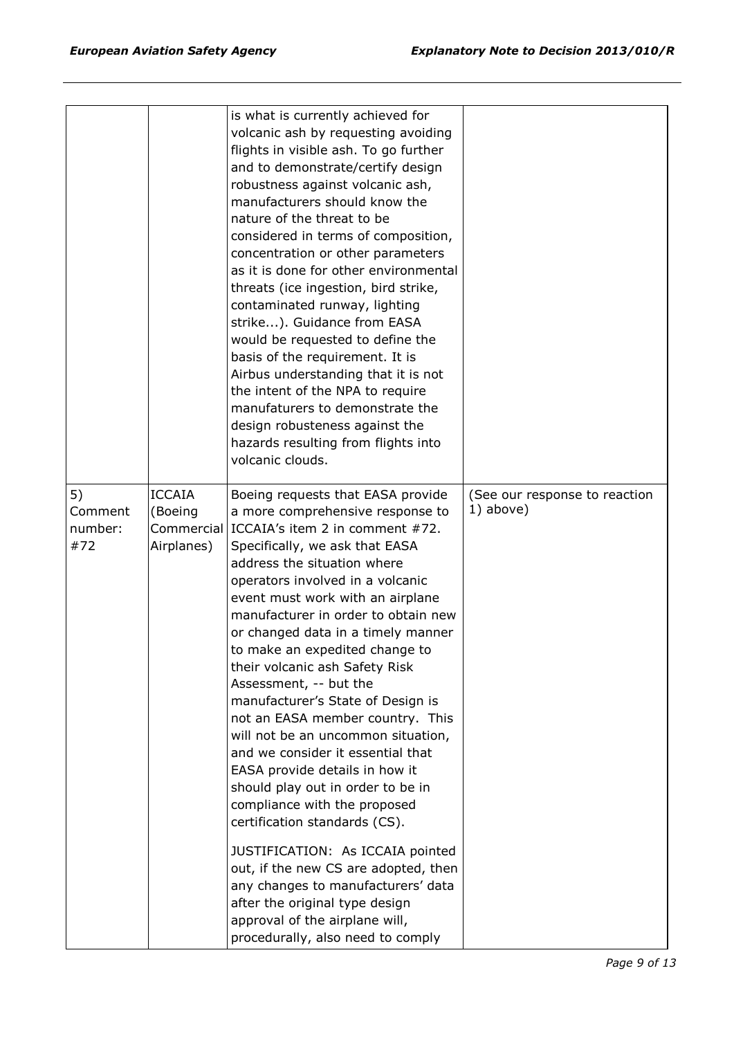|                                 |                                        | is what is currently achieved for<br>volcanic ash by requesting avoiding<br>flights in visible ash. To go further<br>and to demonstrate/certify design<br>robustness against volcanic ash,<br>manufacturers should know the<br>nature of the threat to be<br>considered in terms of composition,<br>concentration or other parameters<br>as it is done for other environmental<br>threats (ice ingestion, bird strike,<br>contaminated runway, lighting<br>strike). Guidance from EASA<br>would be requested to define the<br>basis of the requirement. It is<br>Airbus understanding that it is not<br>the intent of the NPA to require<br>manufaturers to demonstrate the<br>design robusteness against the<br>hazards resulting from flights into                                                                                                                                                                                                           |                                            |
|---------------------------------|----------------------------------------|----------------------------------------------------------------------------------------------------------------------------------------------------------------------------------------------------------------------------------------------------------------------------------------------------------------------------------------------------------------------------------------------------------------------------------------------------------------------------------------------------------------------------------------------------------------------------------------------------------------------------------------------------------------------------------------------------------------------------------------------------------------------------------------------------------------------------------------------------------------------------------------------------------------------------------------------------------------|--------------------------------------------|
|                                 |                                        | volcanic clouds.                                                                                                                                                                                                                                                                                                                                                                                                                                                                                                                                                                                                                                                                                                                                                                                                                                                                                                                                               |                                            |
| 5)<br>Comment<br>number:<br>#72 | <b>ICCAIA</b><br>(Boeing<br>Airplanes) | Boeing requests that EASA provide<br>a more comprehensive response to<br>Commercial ICCAIA's item 2 in comment #72.<br>Specifically, we ask that EASA<br>address the situation where<br>operators involved in a volcanic<br>event must work with an airplane<br>manufacturer in order to obtain new<br>or changed data in a timely manner<br>to make an expedited change to<br>their volcanic ash Safety Risk<br>Assessment, -- but the<br>manufacturer's State of Design is<br>not an EASA member country. This<br>will not be an uncommon situation,<br>and we consider it essential that<br>EASA provide details in how it<br>should play out in order to be in<br>compliance with the proposed<br>certification standards (CS).<br>JUSTIFICATION: As ICCAIA pointed<br>out, if the new CS are adopted, then<br>any changes to manufacturers' data<br>after the original type design<br>approval of the airplane will,<br>procedurally, also need to comply | (See our response to reaction<br>1) above) |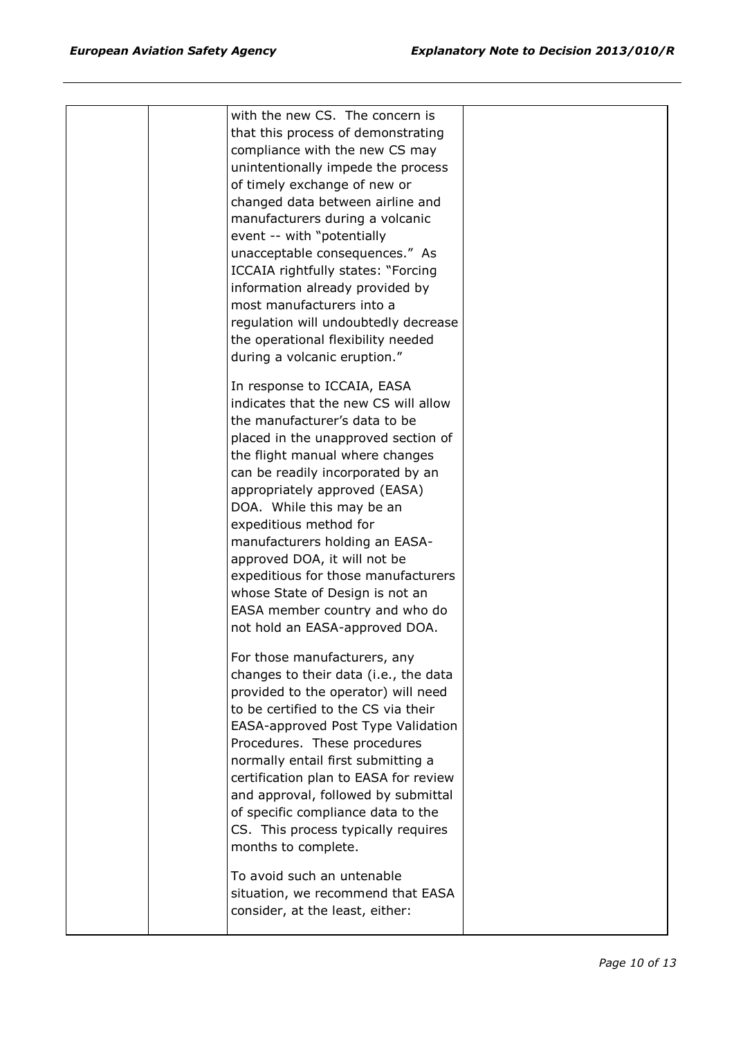|  | with the new CS. The concern is<br>that this process of demonstrating<br>compliance with the new CS may<br>unintentionally impede the process<br>of timely exchange of new or<br>changed data between airline and<br>manufacturers during a volcanic<br>event -- with "potentially<br>unacceptable consequences." As<br>ICCAIA rightfully states: "Forcing<br>information already provided by<br>most manufacturers into a<br>regulation will undoubtedly decrease<br>the operational flexibility needed                                                    |  |
|--|-------------------------------------------------------------------------------------------------------------------------------------------------------------------------------------------------------------------------------------------------------------------------------------------------------------------------------------------------------------------------------------------------------------------------------------------------------------------------------------------------------------------------------------------------------------|--|
|  | during a volcanic eruption."<br>In response to ICCAIA, EASA<br>indicates that the new CS will allow<br>the manufacturer's data to be<br>placed in the unapproved section of<br>the flight manual where changes<br>can be readily incorporated by an<br>appropriately approved (EASA)<br>DOA. While this may be an<br>expeditious method for<br>manufacturers holding an EASA-<br>approved DOA, it will not be<br>expeditious for those manufacturers<br>whose State of Design is not an<br>EASA member country and who do<br>not hold an EASA-approved DOA. |  |
|  | For those manufacturers, any<br>changes to their data (i.e., the data<br>provided to the operator) will need<br>to be certified to the CS via their<br>EASA-approved Post Type Validation<br>Procedures. These procedures<br>normally entail first submitting a<br>certification plan to EASA for review<br>and approval, followed by submittal<br>of specific compliance data to the<br>CS. This process typically requires<br>months to complete.<br>To avoid such an untenable<br>situation, we recommend that EASA                                      |  |
|  | consider, at the least, either:                                                                                                                                                                                                                                                                                                                                                                                                                                                                                                                             |  |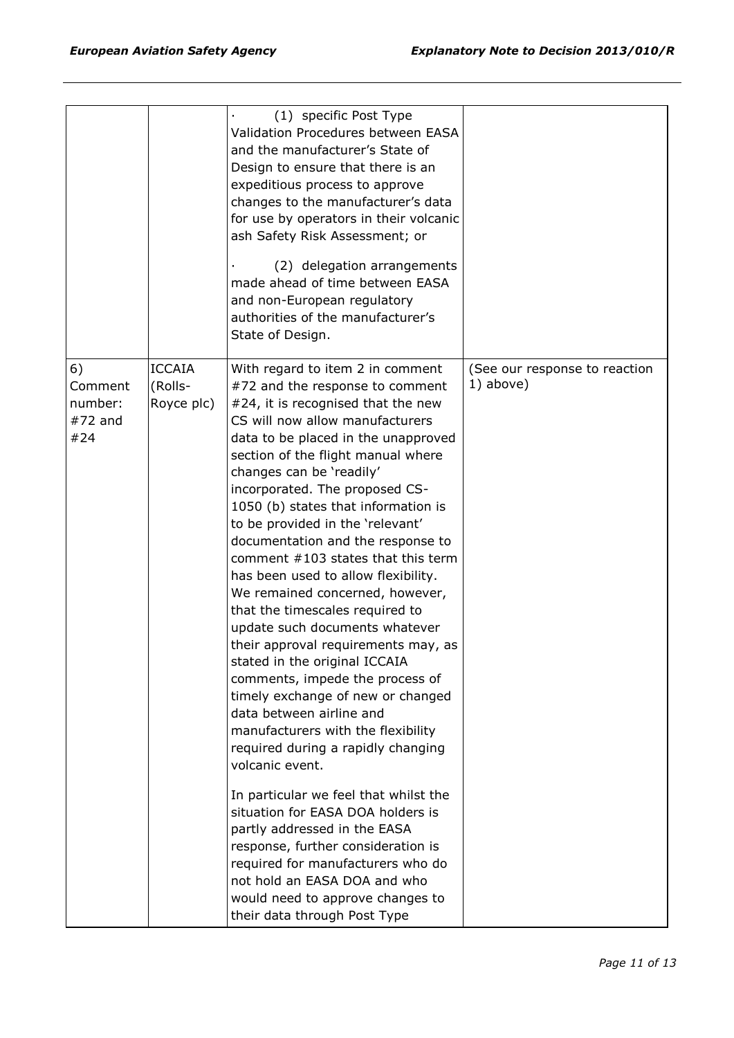|                                              |                                        | (1) specific Post Type<br>Validation Procedures between EASA<br>and the manufacturer's State of<br>Design to ensure that there is an<br>expeditious process to approve<br>changes to the manufacturer's data<br>for use by operators in their volcanic<br>ash Safety Risk Assessment; or<br>(2) delegation arrangements<br>made ahead of time between EASA<br>and non-European regulatory<br>authorities of the manufacturer's<br>State of Design.                                                                                                                                                                                                                                                                                                                                                                                                                                                                                                                                                                                                                                                                                                                   |                                            |
|----------------------------------------------|----------------------------------------|----------------------------------------------------------------------------------------------------------------------------------------------------------------------------------------------------------------------------------------------------------------------------------------------------------------------------------------------------------------------------------------------------------------------------------------------------------------------------------------------------------------------------------------------------------------------------------------------------------------------------------------------------------------------------------------------------------------------------------------------------------------------------------------------------------------------------------------------------------------------------------------------------------------------------------------------------------------------------------------------------------------------------------------------------------------------------------------------------------------------------------------------------------------------|--------------------------------------------|
| 6)<br>Comment<br>number:<br>$#72$ and<br>#24 | <b>ICCAIA</b><br>(Rolls-<br>Royce plc) | With regard to item 2 in comment<br>#72 and the response to comment<br>#24, it is recognised that the new<br>CS will now allow manufacturers<br>data to be placed in the unapproved<br>section of the flight manual where<br>changes can be 'readily'<br>incorporated. The proposed CS-<br>1050 (b) states that information is<br>to be provided in the 'relevant'<br>documentation and the response to<br>comment #103 states that this term<br>has been used to allow flexibility.<br>We remained concerned, however,<br>that the timescales required to<br>update such documents whatever<br>their approval requirements may, as<br>stated in the original ICCAIA<br>comments, impede the process of<br>timely exchange of new or changed<br>data between airline and<br>manufacturers with the flexibility<br>required during a rapidly changing<br>volcanic event.<br>In particular we feel that whilst the<br>situation for EASA DOA holders is<br>partly addressed in the EASA<br>response, further consideration is<br>required for manufacturers who do<br>not hold an EASA DOA and who<br>would need to approve changes to<br>their data through Post Type | (See our response to reaction<br>1) above) |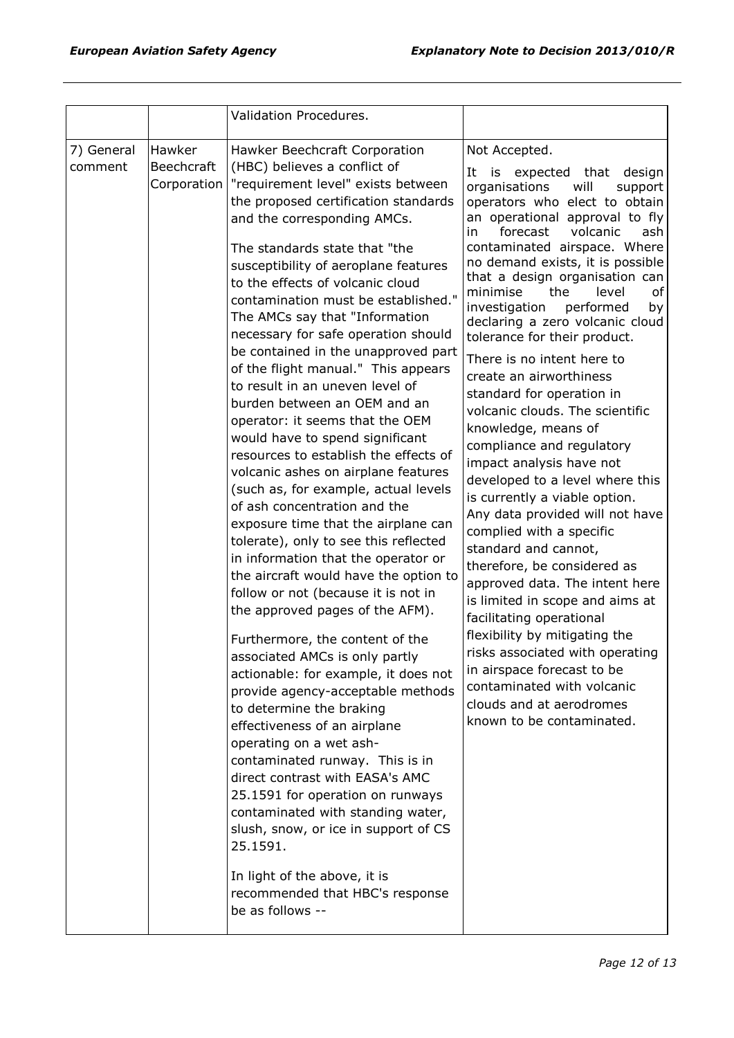|                       |                                     | Validation Procedures.                                                                                                                                                                                                                                                                                                                                                                                                                                                                                                                                                                                                                                                                                                                                                                                                                                                                                                                                                                                                                                                                                                                                                                                                                                                                                                                                                                                                                                                                                                                                              |                                                                                                                                                                                                                                                                                                                                                                                                                                                                                                                                                                                                                                                                                                                                                                                                                                                                                                                                                                                                                                                                                                                                         |
|-----------------------|-------------------------------------|---------------------------------------------------------------------------------------------------------------------------------------------------------------------------------------------------------------------------------------------------------------------------------------------------------------------------------------------------------------------------------------------------------------------------------------------------------------------------------------------------------------------------------------------------------------------------------------------------------------------------------------------------------------------------------------------------------------------------------------------------------------------------------------------------------------------------------------------------------------------------------------------------------------------------------------------------------------------------------------------------------------------------------------------------------------------------------------------------------------------------------------------------------------------------------------------------------------------------------------------------------------------------------------------------------------------------------------------------------------------------------------------------------------------------------------------------------------------------------------------------------------------------------------------------------------------|-----------------------------------------------------------------------------------------------------------------------------------------------------------------------------------------------------------------------------------------------------------------------------------------------------------------------------------------------------------------------------------------------------------------------------------------------------------------------------------------------------------------------------------------------------------------------------------------------------------------------------------------------------------------------------------------------------------------------------------------------------------------------------------------------------------------------------------------------------------------------------------------------------------------------------------------------------------------------------------------------------------------------------------------------------------------------------------------------------------------------------------------|
| 7) General<br>comment | Hawker<br>Beechcraft<br>Corporation | Hawker Beechcraft Corporation<br>(HBC) believes a conflict of<br>"requirement level" exists between<br>the proposed certification standards<br>and the corresponding AMCs.<br>The standards state that "the<br>susceptibility of aeroplane features<br>to the effects of volcanic cloud<br>contamination must be established."<br>The AMCs say that "Information<br>necessary for safe operation should<br>be contained in the unapproved part<br>of the flight manual." This appears<br>to result in an uneven level of<br>burden between an OEM and an<br>operator: it seems that the OEM<br>would have to spend significant<br>resources to establish the effects of<br>volcanic ashes on airplane features<br>(such as, for example, actual levels<br>of ash concentration and the<br>exposure time that the airplane can<br>tolerate), only to see this reflected<br>in information that the operator or<br>the aircraft would have the option to<br>follow or not (because it is not in<br>the approved pages of the AFM).<br>Furthermore, the content of the<br>associated AMCs is only partly<br>actionable: for example, it does not<br>provide agency-acceptable methods<br>to determine the braking<br>effectiveness of an airplane<br>operating on a wet ash-<br>contaminated runway. This is in<br>direct contrast with EASA's AMC<br>25.1591 for operation on runways<br>contaminated with standing water,<br>slush, snow, or ice in support of CS<br>25.1591.<br>In light of the above, it is<br>recommended that HBC's response<br>be as follows -- | Not Accepted.<br>is expected that design<br>It<br>will<br>organisations<br>support<br>operators who elect to obtain<br>an operational approval to fly<br>volcanic<br>forecast<br>ash<br>in.<br>contaminated airspace. Where<br>no demand exists, it is possible<br>that a design organisation can<br>minimise<br>the<br>level<br>οf<br>investigation<br>performed<br>by<br>declaring a zero volcanic cloud<br>tolerance for their product.<br>There is no intent here to<br>create an airworthiness<br>standard for operation in<br>volcanic clouds. The scientific<br>knowledge, means of<br>compliance and regulatory<br>impact analysis have not<br>developed to a level where this<br>is currently a viable option.<br>Any data provided will not have<br>complied with a specific<br>standard and cannot,<br>therefore, be considered as<br>approved data. The intent here<br>is limited in scope and aims at<br>facilitating operational<br>flexibility by mitigating the<br>risks associated with operating<br>in airspace forecast to be<br>contaminated with volcanic<br>clouds and at aerodromes<br>known to be contaminated. |